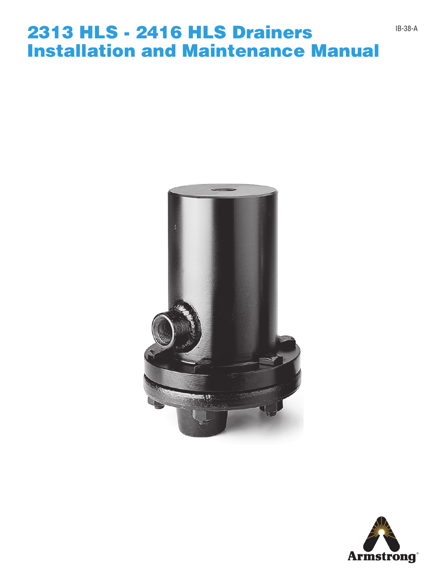### 2313 HLS - 2416 HLS Drainers Installation and Maintenance Manual



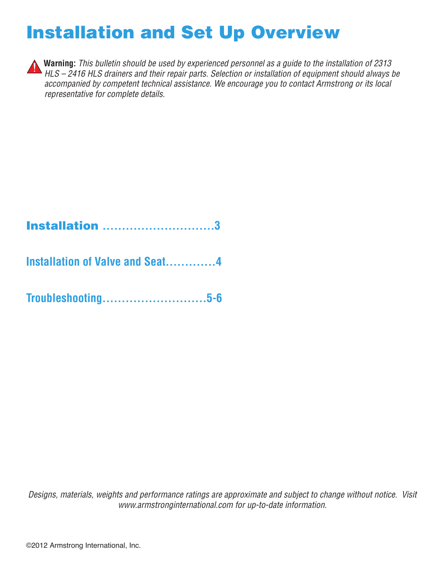# Installation and Set Up Overview



**Warning:** *This bulletin should be used by experienced personnel as a guide to the installation of 2313*  **Herman HLS – 2416 HLS drainers and their repair parts. Selection or installation of equipment should always be** *accompanied by competent technical assistance. We encourage you to contact Armstrong or its local representative for complete details.*

### Installation **.............................3**

**Installation of Valve and Seat.............4**

**Troubleshooting...........................5-6**

*Designs, materials, weights and performance ratings are approximate and subject to change without notice. Visit www.armstronginternational.com for up-to-date information.*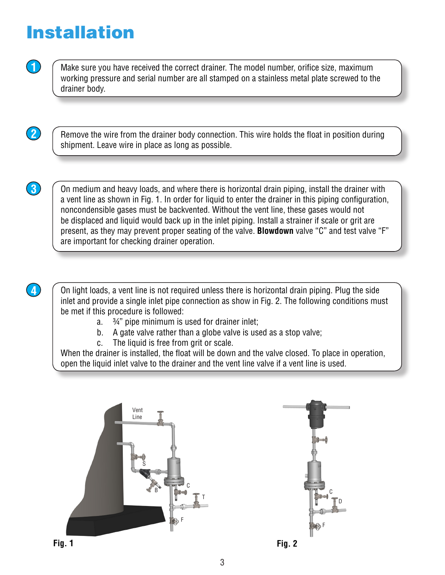# Installation

**1** Make sure you have received the correct drainer. The model number, orifice size, maximum working pressure and serial number are all stamped on a stainless metal plate screwed to the drainer body.

**2 C** Remove the wire from the drainer body connection. This wire holds the float in position during shipment. Leave wire in place as long as possible.

**3** On medium and heavy loads, and where there is horizontal drain piping, install the drainer with a vent line as shown in Fig. 1. In order for liquid to enter the drainer in this piping configuration, noncondensible gases must be backvented. Without the vent line, these gases would not be displaced and liquid would back up in the inlet piping. Install a strainer if scale or grit are present, as they may prevent proper seating of the valve. **Blowdown** valve "C" and test valve "F" are important for checking drainer operation.

**4.** Con light loads, a vent line is not required unless there is horizontal drain piping. Plug the side inlet and provide a single inlet pipe connection as show in Fig. 2. The following conditions must be met if this procedure is followed:

- a. ¾" pipe minimum is used for drainer inlet;
- b. A gate valve rather than a globe valve is used as a stop valve;
- c. The liquid is free from grit or scale.

When the drainer is installed, the float will be down and the valve closed. To place in operation, open the liquid inlet valve to the drainer and the vent line valve if a vent line is used.



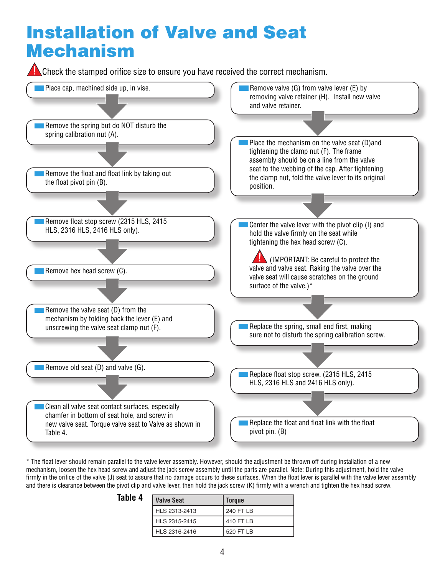## Installation of Valve and Seat Mechanism

**Check the stamped orifice size to ensure you have received the correct mechanism.** 



\* The float lever should remain parallel to the valve lever assembly. However, should the adjustment be thrown off during installation of a new mechanism, loosen the hex head screw and adjust the jack screw assembly until the parts are parallel. Note: During this adjustment, hold the valve firmly in the orifice of the valve (J) seat to assure that no damage occurs to these surfaces. When the float lever is parallel with the valve lever assembly and there is clearance between the pivot clip and valve lever, then hold the jack screw (K) firmly with a wrench and tighten the hex head screw.

| <b>Valve Seat</b> | <b>Torque</b> |
|-------------------|---------------|
| HLS 2313-2413     | 240 FT LB     |
| HLS 2315-2415     | 410 FT LB     |
| HLS 2316-2416     | 520 FT LB     |

**Table 4**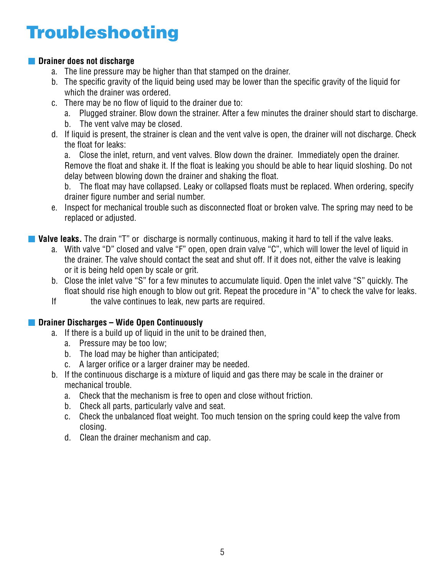# Troubleshooting

#### **Drainer does not discharge**

- a. The line pressure may be higher than that stamped on the drainer.
- b. The specific gravity of the liquid being used may be lower than the specific gravity of the liquid for which the drainer was ordered.
- c. There may be no flow of liquid to the drainer due to:
	- a. Plugged strainer. Blow down the strainer. After a few minutes the drainer should start to discharge.
	- b. The vent valve may be closed.
- d. If liquid is present, the strainer is clean and the vent valve is open, the drainer will not discharge. Check the float for leaks:

 a. Close the inlet, return, and vent valves. Blow down the drainer. Immediately open the drainer. Remove the float and shake it. If the float is leaking you should be able to hear liquid sloshing. Do not delay between blowing down the drainer and shaking the float.

 b. The float may have collapsed. Leaky or collapsed floats must be replaced. When ordering, specify drainer figure number and serial number.

e. Inspect for mechanical trouble such as disconnected float or broken valve. The spring may need to be replaced or adjusted.

**Valve leaks.** The drain "T" or discharge is normally continuous, making it hard to tell if the valve leaks.

- a. With valve "D" closed and valve "F" open, open drain valve "C", which will lower the level of liquid in the drainer. The valve should contact the seat and shut off. If it does not, either the valve is leaking or it is being held open by scale or grit.
- b. Close the inlet valve "S" for a few minutes to accumulate liquid. Open the inlet valve "S" quickly. The float should rise high enough to blow out grit. Repeat the procedure in "A" to check the valve for leaks.
- If the valve continues to leak, new parts are required.

#### **Drainer Discharges – Wide Open Continuously**

- a. If there is a build up of liquid in the unit to be drained then,
	- a. Pressure may be too low;
	- b. The load may be higher than anticipated;
	- c. A larger orifice or a larger drainer may be needed.
- b. If the continuous discharge is a mixture of liquid and gas there may be scale in the drainer or mechanical trouble.
	- a. Check that the mechanism is free to open and close without friction.
	- b. Check all parts, particularly valve and seat.
	- c. Check the unbalanced float weight. Too much tension on the spring could keep the valve from closing.
	- d. Clean the drainer mechanism and cap.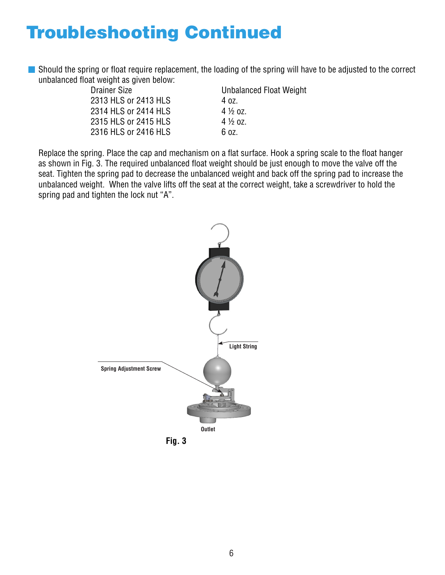# Troubleshooting Continued

Should the spring or float require replacement, the loading of the spring will have to be adjusted to the correct unbalanced float weight as given below:

 Drainer Size Unbalanced Float Weight 2313 HLS or 2413 HLS 4 0z. 2314 HLS or 2414 HLS 4 1/2 0Z. 2315 HLS or 2415 HLS 4 1/2 0Z. 2316 HLS or 2416 HLS 6 oz.

Replace the spring. Place the cap and mechanism on a flat surface. Hook a spring scale to the float hanger as shown in Fig. 3. The required unbalanced float weight should be just enough to move the valve off the seat. Tighten the spring pad to decrease the unbalanced weight and back off the spring pad to increase the unbalanced weight. When the valve lifts off the seat at the correct weight, take a screwdriver to hold the spring pad and tighten the lock nut "A".



**Fig. 3**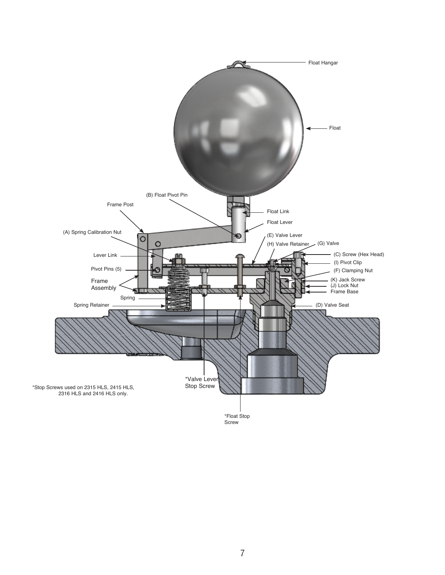